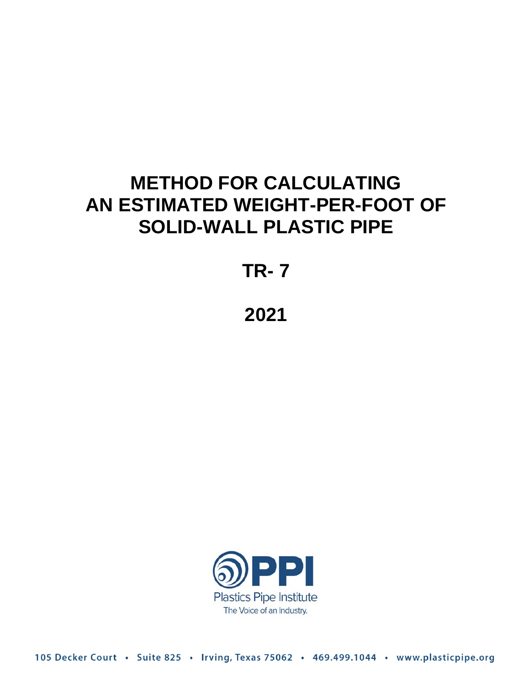# **METHOD FOR CALCULATING AN ESTIMATED WEIGHT-PER-FOOT OF SOLID-WALL PLASTIC PIPE**

**TR- 7** 

## **2021**



105 Decker Court · Suite 825 · Irving, Texas 75062 · 469.499.1044 · www.plasticpipe.org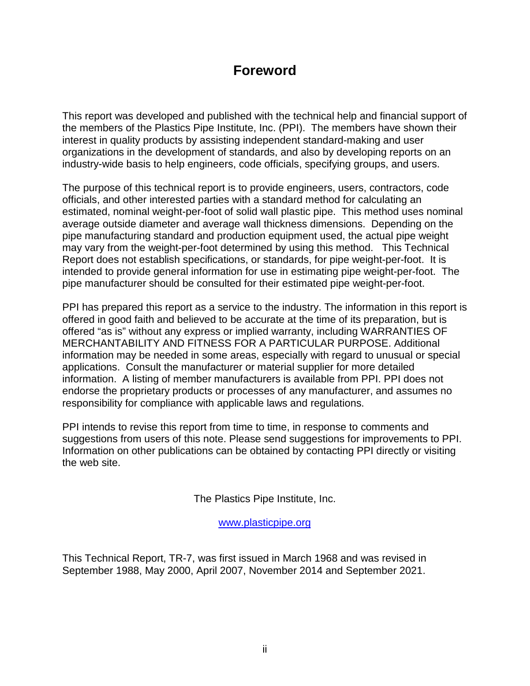### **Foreword**

This report was developed and published with the technical help and financial support of the members of the Plastics Pipe Institute, Inc. (PPI). The members have shown their interest in quality products by assisting independent standard-making and user organizations in the development of standards, and also by developing reports on an industry-wide basis to help engineers, code officials, specifying groups, and users.

The purpose of this technical report is to provide engineers, users, contractors, code officials, and other interested parties with a standard method for calculating an estimated, nominal weight-per-foot of solid wall plastic pipe. This method uses nominal average outside diameter and average wall thickness dimensions. Depending on the pipe manufacturing standard and production equipment used, the actual pipe weight may vary from the weight-per-foot determined by using this method. This Technical Report does not establish specifications, or standards, for pipe weight-per-foot. It is intended to provide general information for use in estimating pipe weight-per-foot. The pipe manufacturer should be consulted for their estimated pipe weight-per-foot.

PPI has prepared this report as a service to the industry. The information in this report is offered in good faith and believed to be accurate at the time of its preparation, but is offered "as is" without any express or implied warranty, including WARRANTIES OF MERCHANTABILITY AND FITNESS FOR A PARTICULAR PURPOSE. Additional information may be needed in some areas, especially with regard to unusual or special applications. Consult the manufacturer or material supplier for more detailed information. A listing of member manufacturers is available from PPI. PPI does not endorse the proprietary products or processes of any manufacturer, and assumes no responsibility for compliance with applicable laws and regulations.

PPI intends to revise this report from time to time, in response to comments and suggestions from users of this note. Please send suggestions for improvements to PPI. Information on other publications can be obtained by contacting PPI directly or visiting the web site.

The Plastics Pipe Institute, Inc.

[www.plasticpipe.org](https://www.plasticpipe.org/) 

This Technical Report, TR-7, was first issued in March 1968 and was revised in September 1988, May 2000, April 2007, November 2014 and September 2021.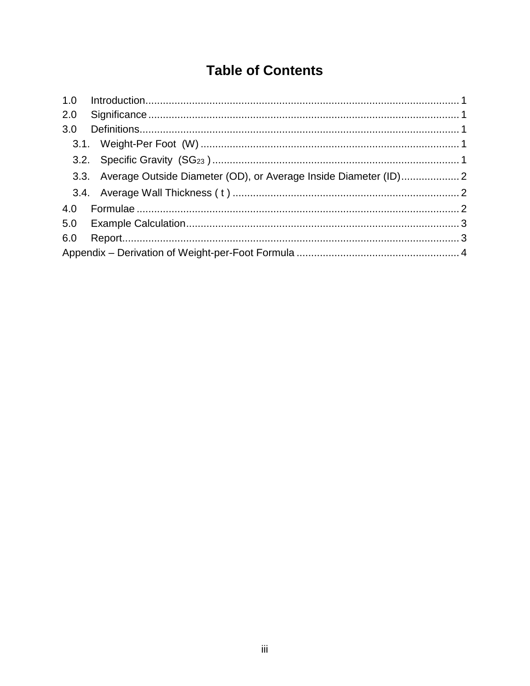### **Table of Contents**

| 2.0 |                                                                     |  |
|-----|---------------------------------------------------------------------|--|
| 3.0 |                                                                     |  |
|     |                                                                     |  |
|     |                                                                     |  |
|     | 3.3. Average Outside Diameter (OD), or Average Inside Diameter (ID) |  |
|     |                                                                     |  |
|     |                                                                     |  |
|     |                                                                     |  |
| 6.0 |                                                                     |  |
|     |                                                                     |  |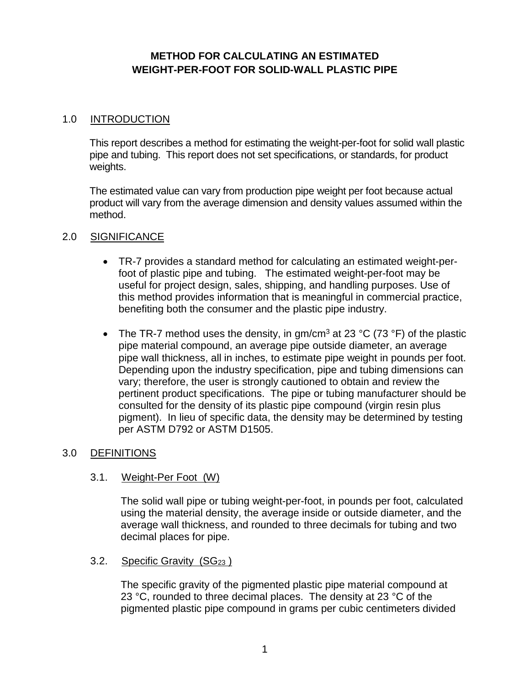#### **METHOD FOR CALCULATING AN ESTIMATED WEIGHT-PER-FOOT FOR SOLID-WALL PLASTIC PIPE**

#### <span id="page-3-0"></span>1.0 INTRODUCTION

This report describes a method for estimating the weight-per-foot for solid wall plastic pipe and tubing. This report does not set specifications, or standards, for product weights.

The estimated value can vary from production pipe weight per foot because actual product will vary from the average dimension and density values assumed within the method.

#### <span id="page-3-1"></span>2.0 SIGNIFICANCE

- TR-7 provides a standard method for calculating an estimated weight-perfoot of plastic pipe and tubing. The estimated weight-per-foot may be useful for project design, sales, shipping, and handling purposes. Use of this method provides information that is meaningful in commercial practice, benefiting both the consumer and the plastic pipe industry.
- The TR-7 method uses the density, in  $qm/cm<sup>3</sup>$  at 23 °C (73 °F) of the plastic pipe material compound, an average pipe outside diameter, an average pipe wall thickness, all in inches, to estimate pipe weight in pounds per foot. Depending upon the industry specification, pipe and tubing dimensions can vary; therefore, the user is strongly cautioned to obtain and review the pertinent product specifications. The pipe or tubing manufacturer should be consulted for the density of its plastic pipe compound (virgin resin plus pigment). In lieu of specific data, the density may be determined by testing per ASTM D792 or ASTM D1505.

#### <span id="page-3-3"></span><span id="page-3-2"></span>3.0 DEFINITIONS

#### 3.1. Weight-Per Foot (W)

<span id="page-3-4"></span>The solid wall pipe or tubing weight-per-foot, in pounds per foot, calculated using the material density, the average inside or outside diameter, and the average wall thickness, and rounded to three decimals for tubing and two decimal places for pipe.

3.2. Specific Gravity (SG<sub>23</sub>)

The specific gravity of the pigmented plastic pipe material compound at 23 °C, rounded to three decimal places. The density at 23 °C of the pigmented plastic pipe compound in grams per cubic centimeters divided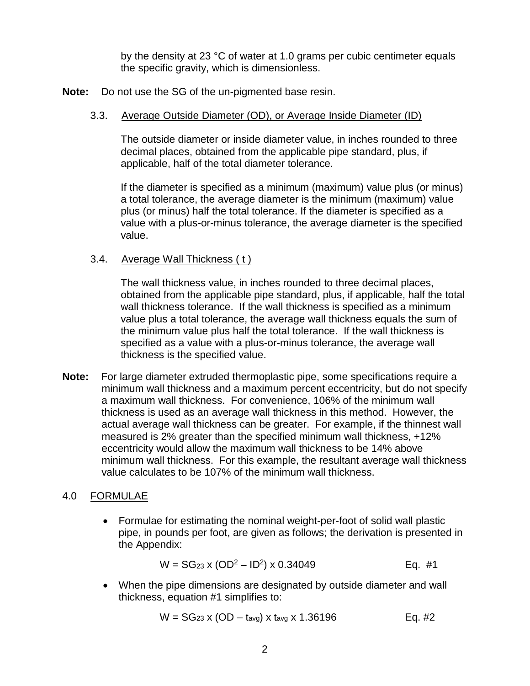by the density at 23 °C of water at 1.0 grams per cubic centimeter equals the specific gravity, which is dimensionless.

<span id="page-4-0"></span>**Note:** Do not use the SG of the un-pigmented base resin.

#### 3.3. Average Outside Diameter (OD), or Average Inside Diameter (ID)

The outside diameter or inside diameter value, in inches rounded to three decimal places, obtained from the applicable pipe standard, plus, if applicable, half of the total diameter tolerance.

If the diameter is specified as a minimum (maximum) value plus (or minus) a total tolerance, the average diameter is the minimum (maximum) value plus (or minus) half the total tolerance. If the diameter is specified as a value with a plus-or-minus tolerance, the average diameter is the specified value.

#### <span id="page-4-1"></span>3.4. Average Wall Thickness ( t )

The wall thickness value, in inches rounded to three decimal places, obtained from the applicable pipe standard, plus, if applicable, half the total wall thickness tolerance. If the wall thickness is specified as a minimum value plus a total tolerance, the average wall thickness equals the sum of the minimum value plus half the total tolerance. If the wall thickness is specified as a value with a plus-or-minus tolerance, the average wall thickness is the specified value.

**Note:** For large diameter extruded thermoplastic pipe, some specifications require a minimum wall thickness and a maximum percent eccentricity, but do not specify a maximum wall thickness. For convenience, 106% of the minimum wall thickness is used as an average wall thickness in this method. However, the actual average wall thickness can be greater. For example, if the thinnest wall measured is 2% greater than the specified minimum wall thickness, +12% eccentricity would allow the maximum wall thickness to be 14% above minimum wall thickness. For this example, the resultant average wall thickness value calculates to be 107% of the minimum wall thickness.

#### <span id="page-4-2"></span>4.0 FORMULAE

• Formulae for estimating the nominal weight-per-foot of solid wall plastic pipe, in pounds per foot, are given as follows; the derivation is presented in the Appendix:

$$
W = SG_{23} \times (OD^2 - ID^2) \times 0.34049
$$
 Eq. #1

• When the pipe dimensions are designated by outside diameter and wall thickness, equation #1 simplifies to:

$$
W = SG_{23} \times (OD - t_{avg}) \times t_{avg} \times 1.36196
$$
 Eq. #2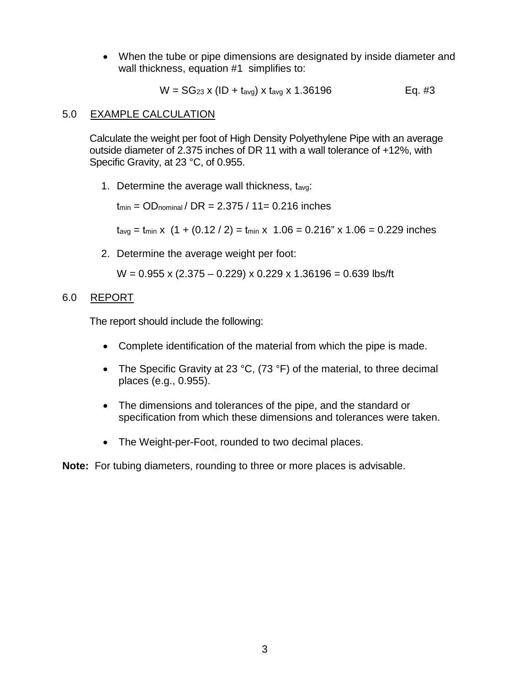• When the tube or pipe dimensions are designated by inside diameter and wall thickness, equation #1 simplifies to:

$$
W = SG_{23} \times (ID + t_{avg}) \times t_{avg} \times 1.36196
$$
 Eq. #3

#### <span id="page-5-0"></span>5.0 EXAMPLE CALCULATION

Calculate the weight per foot of High Density Polyethylene Pipe with an average outside diameter of 2.375 inches of DR 11 with a wall tolerance of +12%, with Specific Gravity, at 23 °C, of 0.955.

1. Determine the average wall thickness, tavg:

 $t_{min} = OD_{nominal} / DR = 2.375 / 11 = 0.216$  inches

 $t_{avg} = t_{min} \times (1 + (0.12 / 2) = t_{min} \times 1.06 = 0.216" \times 1.06 = 0.229$  inches

2. Determine the average weight per foot:

 $W = 0.955$  x (2.375 – 0.229) x 0.229 x 1.36196 = 0.639 lbs/ft

#### <span id="page-5-1"></span>6.0 REPORT

The report should include the following:

- Complete identification of the material from which the pipe is made.
- The Specific Gravity at 23 °C, (73 °F) of the material, to three decimal places (e.g., 0.955).
- The dimensions and tolerances of the pipe, and the standard or specification from which these dimensions and tolerances were taken.
- The Weight-per-Foot, rounded to two decimal places.

**Note:** For tubing diameters, rounding to three or more places is advisable.